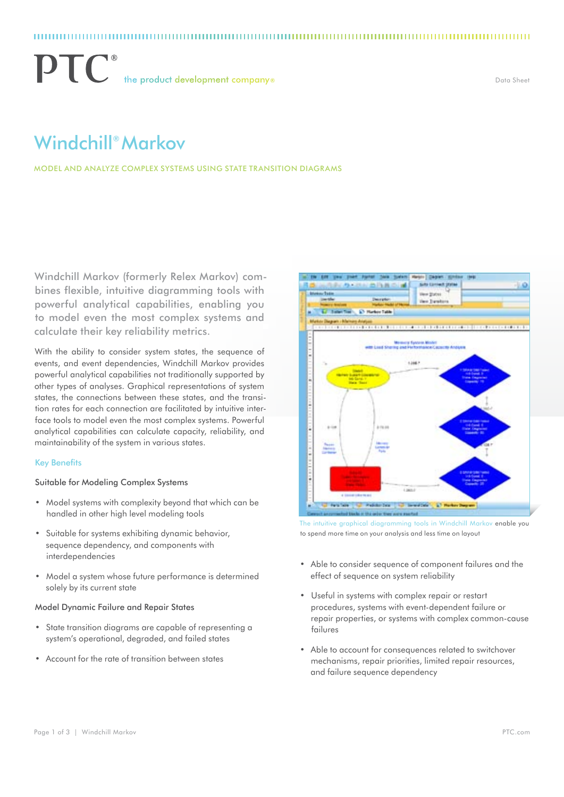$\mathbf{P}\mathbf{T}$  the product development company®

Data Sheet

# Windchill® Markov

Model and Analyze Complex Systems Using State Transition Diagrams

Windchill Markov (formerly Relex Markov) combines flexible, intuitive diagramming tools with powerful analytical capabilities, enabling you to model even the most complex systems and calculate their key reliability metrics.

With the ability to consider system states, the sequence of events, and event dependencies, Windchill Markov provides powerful analytical capabilities not traditionally supported by other types of analyses. Graphical representations of system states, the connections between these states, and the transition rates for each connection are facilitated by intuitive interface tools to model even the most complex systems. Powerful analytical capabilities can calculate capacity, reliability, and maintainability of the system in various states.

# Key Benefits

# Suitable for Modeling Complex Systems

- • Model systems with complexity beyond that which can be handled in other high level modeling tools
- • Suitable for systems exhibiting dynamic behavior, sequence dependency, and components with interdependencies
- Model a system whose future performance is determined solely by its current state

# Model Dynamic Failure and Repair States

- State transition diagrams are capable of representing a system's operational, degraded, and failed states
- • Account for the rate of transition between states



The intuitive graphical diagramming tools in Windchill Markov enable you to spend more time on your analysis and less time on layout

- • Able to consider sequence of component failures and the effect of sequence on system reliability
- • Useful in systems with complex repair or restart procedures, systems with event-dependent failure or repair properties, or systems with complex common-cause failures
- Able to account for consequences related to switchover mechanisms, repair priorities, limited repair resources, and failure sequence dependency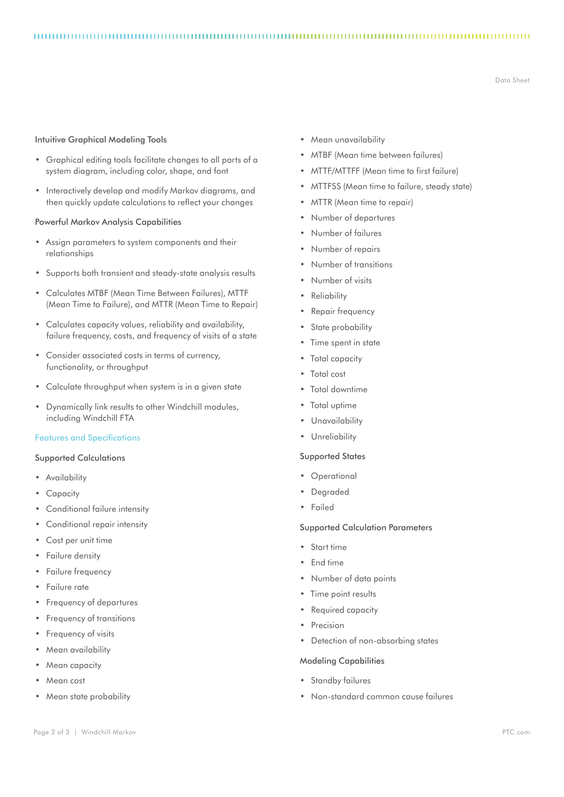# Intuitive Graphical Modeling Tools

- • Graphical editing tools facilitate changes to all parts of a system diagram, including color, shape, and font
- Interactively develop and modify Markov diagrams, and then quickly update calculations to reflect your changes

# Powerful Markov Analysis Capabilities

- • Assign parameters to system components and their relationships
- Supports both transient and steady-state analysis results
- • Calculates MTBF (Mean Time Between Failures), MTTF (Mean Time to Failure), and MTTR (Mean Time to Repair)
- • Calculates capacity values, reliability and availability, failure frequency, costs, and frequency of visits of a state
- • Consider associated costs in terms of currency, functionality, or throughput
- • Calculate throughput when system is in a given state
- • Dynamically link results to other Windchill modules, including Windchill FTA

### Features and Specifications

# Supported Calculations

- • Availability
- • Capacity
- • Conditional failure intensity
- • Conditional repair intensity
- Cost per unit time
- **Failure density**
- Failure frequency
- • Failure rate
- • Frequency of departures
- • Frequency of transitions
- • Frequency of visits
- Mean availability
- Mean capacity
- Mean cost
- Mean state probability

• Mean unavailability

- • MTBF (Mean time between failures)
- • MTTF/MTTFF (Mean time to first failure)
- • MTTFSS (Mean time to failure, steady state)
- • MTTR (Mean time to repair)
- Number of departures
- Number of failures
- • Number of repairs
- Number of transitions
- • Number of visits
- • Reliability
- Repair frequency
- State probability
- • Time spent in state
- Total capacity
- • Total cost
- Total downtime
- • Total uptime
- 
- 

# Supported States

- • Operational
- • Degraded
- • Failed

# Supported Calculation Parameters

- • Start time
- • End time
- • Number of data points
- Time point results
- • Required capacity
- • Precision
- Detection of non-absorbing states

# Modeling Capabilities

- Standby failures
- • Non-standard common cause failures
- 
- 
- 
- 
- 
- 
- 
- 
- • Unavailability
- • Unreliability